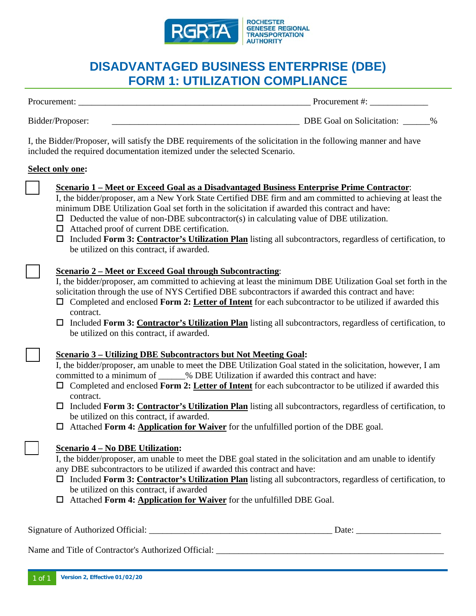

# **DISADVANTAGED BUSINESS ENTERPRISE (DBE) FORM 1: UTILIZATION COMPLIANCE**

Procurement: \_\_\_\_\_\_\_\_\_\_\_\_\_\_\_\_\_\_\_\_\_\_\_\_\_\_\_\_\_\_\_\_\_\_\_\_\_\_\_\_\_\_\_\_\_\_\_\_\_\_\_\_ Procurement #: \_\_\_\_\_\_\_\_\_\_\_\_\_

Bidder/Proposer: \_\_\_\_\_\_\_\_\_\_\_\_\_\_\_\_\_\_\_\_\_\_\_\_\_\_\_\_\_\_\_\_\_\_\_\_\_\_\_\_\_\_ DBE Goal on Solicitation: \_\_\_\_\_\_%

I, the Bidder/Proposer, will satisfy the DBE requirements of the solicitation in the following manner and have included the required documentation itemized under the selected Scenario.

### **Select only one:**

- ☐ **Scenario 1 Meet or Exceed Goal as a Disadvantaged Business Enterprise Prime Contractor**:
- I, the bidder/proposer, am a New York State Certified DBE firm and am committed to achieving at least the minimum DBE Utilization Goal set forth in the solicitation if awarded this contract and have:
- $\Box$  Deducted the value of non-DBE subcontractor(s) in calculating value of DBE utilization.
- Attached proof of current DBE certification.
- Included **Form 3: Contractor's Utilization Plan** listing all subcontractors, regardless of certification, to be utilized on this contract, if awarded.

## ☐ **Scenario 2 – Meet or Exceed Goal through Subcontracting**:

I, the bidder/proposer, am committed to achieving at least the minimum DBE Utilization Goal set forth in the solicitation through the use of NYS Certified DBE subcontractors if awarded this contract and have:

- Completed and enclosed **Form 2: Letter of Intent** for each subcontractor to be utilized if awarded this contract.
- Included **Form 3: Contractor's Utilization Plan** listing all subcontractors, regardless of certification, to be utilized on this contract, if awarded.

## ☐ **Scenario 3 – Utilizing DBE Subcontractors but Not Meeting Goal:**

I, the bidder/proposer, am unable to meet the DBE Utilization Goal stated in the solicitation, however, I am committed to a minimum of  $\mu$  DBE Utilization if awarded this contract and have:

- Completed and enclosed **Form 2: Letter of Intent** for each subcontractor to be utilized if awarded this contract.
- Included **Form 3: Contractor's Utilization Plan** listing all subcontractors, regardless of certification, to be utilized on this contract, if awarded.
- Attached **Form 4: Application for Waiver** for the unfulfilled portion of the DBE goal.

## ☐ **Scenario 4 – No DBE Utilization:**

I, the bidder/proposer, am unable to meet the DBE goal stated in the solicitation and am unable to identify any DBE subcontractors to be utilized if awarded this contract and have:

- Included **Form 3: Contractor's Utilization Plan** listing all subcontractors, regardless of certification, to be utilized on this contract, if awarded
- Attached **Form 4: Application for Waiver** for the unfulfilled DBE Goal.

| Signature of Authorized<br>Official: | Jate <sup>.</sup> |
|--------------------------------------|-------------------|
|                                      |                   |

Name and Title of Contractor's Authorized Official: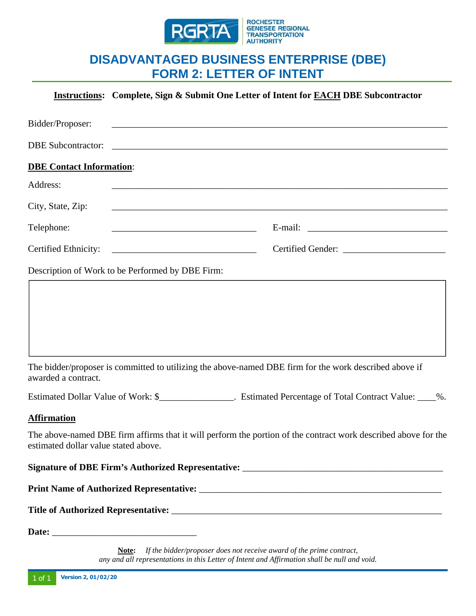

## **DISADVANTAGED BUSINESS ENTERPRISE (DBE) FORM 2: LETTER OF INTENT**

|                                      | <b>Instructions:</b> Complete, Sign & Submit One Letter of Intent for EACH DBE Subcontractor                         |
|--------------------------------------|----------------------------------------------------------------------------------------------------------------------|
| Bidder/Proposer:                     |                                                                                                                      |
|                                      |                                                                                                                      |
| <b>DBE Contact Information:</b>      |                                                                                                                      |
| Address:                             | <u> 1980 - Johann Barn, amerikan bernama di sebagai bernama di sebagai bernama di sebagai bernama di sebagai ber</u> |
| City, State, Zip:                    | <u> 1989 - 1989 - 1989 - 1989 - 1989 - 1989 - 1989 - 1989 - 1989 - 1989 - 1989 - 1989 - 1989 - 1989 - 1989 - 19</u>  |
| Telephone:                           |                                                                                                                      |
|                                      |                                                                                                                      |
|                                      | Description of Work to be Performed by DBE Firm:                                                                     |
| awarded a contract.                  | The bidder/proposer is committed to utilizing the above-named DBE firm for the work described above if               |
|                                      | Estimated Dollar Value of Work: \$_________________. Estimated Percentage of Total Contract Value: ____%.            |
| <b>Affirmation</b>                   |                                                                                                                      |
| estimated dollar value stated above. | The above-named DBE firm affirms that it will perform the portion of the contract work described above for the       |
|                                      |                                                                                                                      |
|                                      |                                                                                                                      |
|                                      |                                                                                                                      |
|                                      |                                                                                                                      |

**Note:** *If the bidder/proposer does not receive award of the prime contract, any and all representations in this Letter of Intent and Affirmation shall be null and void.*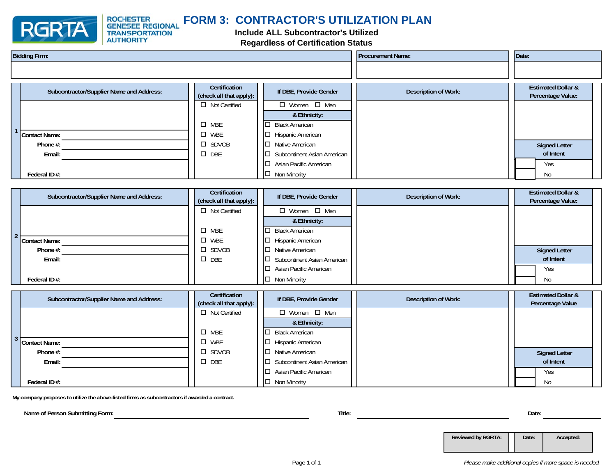

**ROCHESTER** 

**TRANSPORTATION**<br>AUTHORITY

#### **FORM 3: CONTRACTOR'S UTILIZATION PLANGENESEE REGIONAL**

## **Include ALL Subcontractor's Utilized Regardless of Certification Status**

| <b>Bidding Firm:</b> |                                          |                                          | <b>Procurement Name:</b>              |  | Date:                       |  |                                                    |
|----------------------|------------------------------------------|------------------------------------------|---------------------------------------|--|-----------------------------|--|----------------------------------------------------|
|                      |                                          |                                          |                                       |  |                             |  |                                                    |
|                      | Subcontractor/Supplier Name and Address: | Certification<br>(check all that apply): | If DBE, Provide Gender                |  | <b>Description of Work:</b> |  | <b>Estimated Dollar &amp;</b><br>Percentage Value: |
|                      |                                          | $\Box$ Not Certified                     | $\Box$ Women $\Box$ Men               |  |                             |  |                                                    |
|                      |                                          |                                          | & Ethnicity:                          |  |                             |  |                                                    |
|                      |                                          | $\square$ MBE                            | $\Box$ Black American                 |  |                             |  |                                                    |
|                      | Contact Name:                            | $\Box$ WBE                               | $\Box$ Hispanic American              |  |                             |  |                                                    |
|                      | Phone #:                                 | $\square$ SDVOB                          | $\Box$ Native American                |  |                             |  | <b>Signed Letter</b>                               |
|                      | Email:                                   | $\square$ DBE                            | Subcontinent Asian American<br>$\Box$ |  |                             |  | of Intent                                          |
|                      |                                          |                                          | $\Box$ Asian Pacific American         |  |                             |  | Yes                                                |
|                      | Federal ID#:                             |                                          | $\Box$ Non Minority                   |  |                             |  | No                                                 |

| Subcontractor/Supplier Name and Address: | Certification<br>(check all that apply): | If DBE, Provide Gender             | Description of Work: | <b>Estimated Dollar &amp;</b><br>Percentage Value: |
|------------------------------------------|------------------------------------------|------------------------------------|----------------------|----------------------------------------------------|
|                                          | $\Box$ Not Certified                     | $\Box$ Women $\Box$ Men            |                      |                                                    |
|                                          |                                          | & Ethnicity:                       |                      |                                                    |
|                                          | $\square$ MBE                            | $\Box$ Black American              |                      |                                                    |
| Contact Name:                            | $\Box$ WBE                               | $\Box$ Hispanic American           |                      |                                                    |
| Phone #:                                 | $\square$ SDVOB                          | $\Box$ Native American             |                      | <b>Signed Letter</b>                               |
| Email:                                   | $\square$ DBE                            | $\Box$ Subcontinent Asian American |                      | of Intent                                          |
|                                          |                                          | $\Box$ Asian Pacific American      |                      | Yes                                                |
| Federal ID#:                             |                                          | $\Box$ Non Minority                |                      | No                                                 |

| Subcontractor/Supplier Name and Address: | Certification<br>(check all that apply): | If DBE, Provide Gender        | Description of Work: | <b>Estimated Dollar &amp;</b><br>Percentage Value |
|------------------------------------------|------------------------------------------|-------------------------------|----------------------|---------------------------------------------------|
|                                          | $\Box$ Not Certified                     | $\Box$ Women $\Box$ Men       |                      |                                                   |
|                                          |                                          | & Ethnicity:                  |                      |                                                   |
|                                          | $\square$ MBE                            | $\Box$ Black American         |                      |                                                   |
| Contact Name:                            | WBE<br>◻                                 | $\Box$ Hispanic American      |                      |                                                   |
| Phone #:                                 | $\square$ SDVOB                          | $\Box$ Native American        |                      | <b>Signed Letter</b>                              |
| Email:                                   | $\square$ DBE                            | □ Subcontinent Asian American |                      | of Intent                                         |
|                                          |                                          | $\Box$ Asian Pacific American |                      | Yes                                               |
| Federal ID#:                             |                                          | $\Box$ Non Minority           |                      | No                                                |

**My company proposes to utilize the above-listed firms as subcontractors if awarded a contract.**

**Name of Person Submitting Form: Title: Date:**

**Reviewed by RGRTA: Date: Accepted:**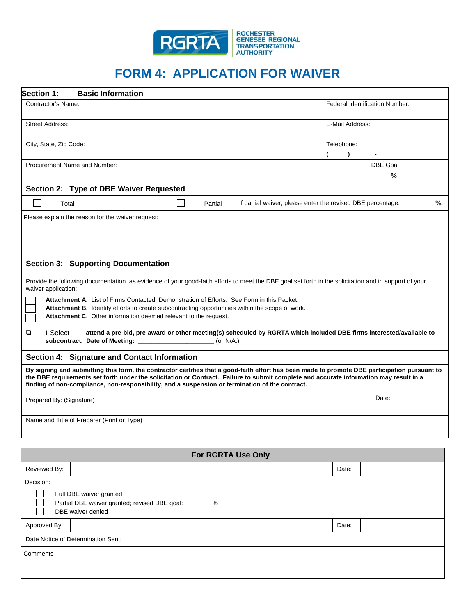

# **FORM 4: APPLICATION FOR WAIVER**

| Section 1:<br><b>Basic Information</b>                                                                                                                                                                                                                                                                                                                                                     |  |                           |                                                                                                                     |                 |                                       |               |
|--------------------------------------------------------------------------------------------------------------------------------------------------------------------------------------------------------------------------------------------------------------------------------------------------------------------------------------------------------------------------------------------|--|---------------------------|---------------------------------------------------------------------------------------------------------------------|-----------------|---------------------------------------|---------------|
| Contractor's Name:                                                                                                                                                                                                                                                                                                                                                                         |  |                           |                                                                                                                     |                 | <b>Federal Identification Number:</b> |               |
| <b>Street Address:</b>                                                                                                                                                                                                                                                                                                                                                                     |  |                           |                                                                                                                     | E-Mail Address: |                                       |               |
| City, State, Zip Code:                                                                                                                                                                                                                                                                                                                                                                     |  |                           |                                                                                                                     | Telephone:      |                                       |               |
| Procurement Name and Number:                                                                                                                                                                                                                                                                                                                                                               |  |                           |                                                                                                                     |                 | <b>DBE Goal</b>                       |               |
|                                                                                                                                                                                                                                                                                                                                                                                            |  |                           |                                                                                                                     | $\frac{6}{9}$   |                                       |               |
| Section 2: Type of DBE Waiver Requested                                                                                                                                                                                                                                                                                                                                                    |  |                           |                                                                                                                     |                 |                                       |               |
| Total                                                                                                                                                                                                                                                                                                                                                                                      |  | Partial                   | If partial waiver, please enter the revised DBE percentage:                                                         |                 |                                       | $\frac{6}{9}$ |
| Please explain the reason for the waiver request:                                                                                                                                                                                                                                                                                                                                          |  |                           |                                                                                                                     |                 |                                       |               |
|                                                                                                                                                                                                                                                                                                                                                                                            |  |                           |                                                                                                                     |                 |                                       |               |
| <b>Section 3: Supporting Documentation</b>                                                                                                                                                                                                                                                                                                                                                 |  |                           |                                                                                                                     |                 |                                       |               |
| Provide the following documentation as evidence of your good-faith efforts to meet the DBE goal set forth in the solicitation and in support of your<br>waiver application:                                                                                                                                                                                                                |  |                           |                                                                                                                     |                 |                                       |               |
| Attachment A. List of Firms Contacted, Demonstration of Efforts. See Form in this Packet.<br>Attachment B. Identify efforts to create subcontracting opportunities within the scope of work.<br>Attachment C. Other information deemed relevant to the request.                                                                                                                            |  |                           |                                                                                                                     |                 |                                       |               |
| ❏<br>I Select<br>subcontract. Date of Meeting: ____________________________ (or N/A.)                                                                                                                                                                                                                                                                                                      |  |                           | attend a pre-bid, pre-award or other meeting(s) scheduled by RGRTA which included DBE firms interested/available to |                 |                                       |               |
| Section 4: Signature and Contact Information                                                                                                                                                                                                                                                                                                                                               |  |                           |                                                                                                                     |                 |                                       |               |
| By signing and submitting this form, the contractor certifies that a good-faith effort has been made to promote DBE participation pursuant to<br>the DBE requirements set forth under the solicitation or Contract. Failure to submit complete and accurate information may result in a<br>finding of non-compliance, non-responsibility, and a suspension or termination of the contract. |  |                           |                                                                                                                     |                 |                                       |               |
| Prepared By: (Signature)                                                                                                                                                                                                                                                                                                                                                                   |  |                           |                                                                                                                     |                 | Date:                                 |               |
| Name and Title of Preparer (Print or Type)                                                                                                                                                                                                                                                                                                                                                 |  |                           |                                                                                                                     |                 |                                       |               |
|                                                                                                                                                                                                                                                                                                                                                                                            |  | <b>For RGRTA Use Only</b> |                                                                                                                     |                 |                                       |               |
| Reviewed By:                                                                                                                                                                                                                                                                                                                                                                               |  |                           |                                                                                                                     | Date:           |                                       |               |
| Decision:                                                                                                                                                                                                                                                                                                                                                                                  |  |                           |                                                                                                                     |                 |                                       |               |
| Full DBE waiver granted<br>Partial DBE waiver granted; revised DBE goal: _______ %<br>DBE waiver denied                                                                                                                                                                                                                                                                                    |  |                           |                                                                                                                     |                 |                                       |               |
| Approved By:                                                                                                                                                                                                                                                                                                                                                                               |  |                           |                                                                                                                     | Date:           |                                       |               |
| Date Notice of Determination Sent:                                                                                                                                                                                                                                                                                                                                                         |  |                           |                                                                                                                     |                 |                                       |               |
| Comments                                                                                                                                                                                                                                                                                                                                                                                   |  |                           |                                                                                                                     |                 |                                       |               |
|                                                                                                                                                                                                                                                                                                                                                                                            |  |                           |                                                                                                                     |                 |                                       |               |